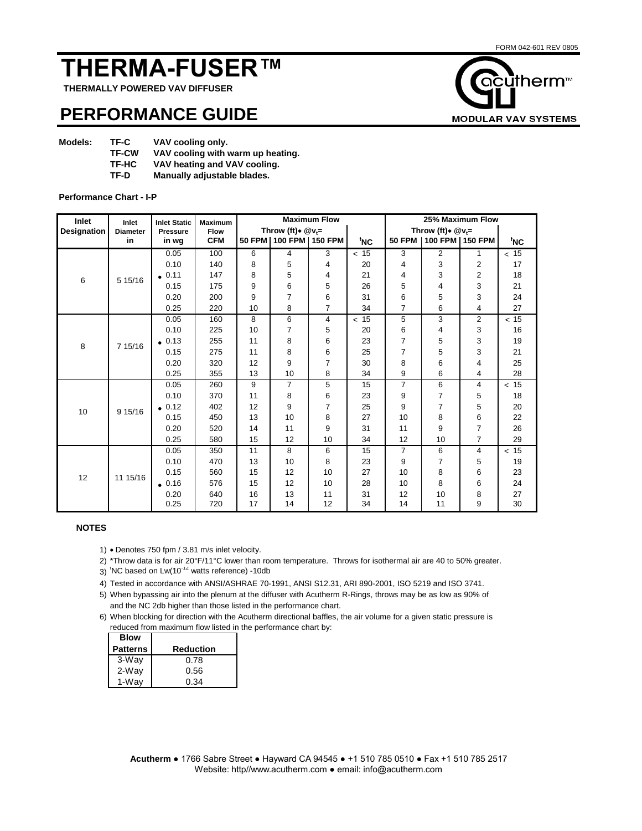# **THERMA-FUSER™**

 **THERMALLY POWERED VAV DIFFUSER**

## **PERFORMANCE GUIDE**

| <b>Models:</b> | TF-C         | VAV cooling only.                 |
|----------------|--------------|-----------------------------------|
|                | <b>TF-CW</b> | VAV cooling with warm up heating. |
|                | TF-HC        | VAV heating and VAV cooling.      |
|                | TF-D         | Manually adjustable blades.       |

#### **Performance Chart - I-P**

| Inlet       | Inlet           | <b>Inlet Static</b> | <b>Maximum</b> |                       |                            | <b>Maximum Flow</b> |      | 25% Maximum Flow      |                 |                |      |  |  |
|-------------|-----------------|---------------------|----------------|-----------------------|----------------------------|---------------------|------|-----------------------|-----------------|----------------|------|--|--|
| Designation | <b>Diameter</b> | <b>Pressure</b>     | <b>Flow</b>    | Throw (ft) * $@v_i =$ |                            |                     |      | Throw (ft) * $@v_i =$ |                 |                |      |  |  |
|             | in              | in wg               | <b>CFM</b>     |                       | 50 FPM   100 FPM   150 FPM |                     | 'NC  | <b>50 FPM</b>         | 100 FPM 150 FPM |                | 'NC  |  |  |
|             |                 | 0.05                | 100            | 6                     | 4                          | 3                   | < 15 | 3                     | 2               | 1              | < 15 |  |  |
|             |                 | 0.10                | 140            | 8                     | 5                          | 4                   | 20   | 4                     | 3               | 2              | 17   |  |  |
| 6           | 5 15/16         | .0.11               | 147            | 8                     | 5                          | 4                   | 21   | 4                     | 3               | 2              | 18   |  |  |
|             |                 | 0.15                | 175            | 9                     | 6                          | 5                   | 26   | 5                     | 4               | 3              | 21   |  |  |
|             |                 | 0.20                | 200            | 9                     | 7                          | 6                   | 31   | 6                     | 5               | 3              | 24   |  |  |
|             |                 | 0.25                | 220            | 10                    | 8                          | $\overline{7}$      | 34   | $\overline{7}$        | 6               | 4              | 27   |  |  |
|             |                 | 0.05                | 160            | 8                     | 6                          | 4                   | < 15 | 5                     | 3               | $\overline{2}$ | < 15 |  |  |
|             |                 | 0.10                | 225            | 10                    | 7                          | 5                   | 20   | 6                     | 4               | 3              | 16   |  |  |
| 8           | 7 15/16         | $\bullet$ 0.13      | 255            | 11                    | 8                          | 6                   | 23   | $\overline{7}$        | 5               | 3              | 19   |  |  |
|             |                 | 0.15                | 275            | 11                    | 8                          | 6                   | 25   | 7                     | 5               | 3              | 21   |  |  |
|             |                 | 0.20                | 320            | 12                    | 9                          | 7                   | 30   | 8                     | 6               | 4              | 25   |  |  |
|             |                 | 0.25                | 355            | 13                    | 10                         | 8                   | 34   | 9                     | 6               | 4              | 28   |  |  |
|             |                 | 0.05                | 260            | 9                     | 7                          | 5                   | 15   | $\overline{7}$        | 6               | $\overline{4}$ | < 15 |  |  |
|             |                 | 0.10                | 370            | 11                    | 8                          | 6                   | 23   | 9                     | 7               | 5              | 18   |  |  |
| 10          | 9 15/16         | $\bullet$ 0.12      | 402            | 12                    | 9                          | 7                   | 25   | 9                     | $\overline{7}$  | 5              | 20   |  |  |
|             |                 | 0.15                | 450            | 13                    | 10                         | 8                   | 27   | 10                    | 8               | 6              | 22   |  |  |
|             |                 | 0.20                | 520            | 14                    | 11                         | 9                   | 31   | 11                    | 9               | 7              | 26   |  |  |
|             |                 | 0.25                | 580            | 15                    | 12                         | 10                  | 34   | 12                    | 10              | 7              | 29   |  |  |
| 12          | 11 15/16        | 0.05                | 350            | 11                    | 8                          | 6                   | 15   | $\overline{7}$        | 6               | $\overline{4}$ | < 15 |  |  |
|             |                 | 0.10                | 470            | 13                    | 10                         | 8                   | 23   | 9                     | $\overline{7}$  | 5              | 19   |  |  |
|             |                 | 0.15                | 560            | 15                    | 12                         | 10                  | 27   | 10                    | 8               | 6              | 23   |  |  |
|             |                 | .0.16               | 576            | 15                    | 12                         | 10                  | 28   | 10                    | 8               | 6              | 24   |  |  |
|             |                 | 0.20                | 640            | 16                    | 13                         | 11                  | 31   | 12                    | 10              | 8              | 27   |  |  |
|             |                 | 0.25                | 720            | 17                    | 14                         | 12                  | 34   | 14                    | 11              | 9              | 30   |  |  |

### **NOTES**

- 1) Denotes 750 fpm / 3.81 m/s inlet velocity.
- 2) \*Throw data is for air 20°F/11°C lower than room temperature. Throws for isothermal air are 40 to 50% greater.
- $3)$  <sup>t</sup>NC based on Lw(10<sup>-12</sup> watts reference) -10db
- 4) Tested in accordance with ANSI/ASHRAE 70-1991, ANSI S12.31, ARI 890-2001, ISO 5219 and ISO 3741.
- 5) When bypassing air into the plenum at the diffuser with Acutherm R-Rings, throws may be as low as 90% of and the NC 2db higher than those listed in the performance chart.
- 6) When blocking for direction with the Acutherm directional baffles, the air volume for a given static pressure is reduced from maximum flow listed in the performance chart by:

| <b>Blow</b>     |           |
|-----------------|-----------|
| <b>Patterns</b> | Reduction |
| 3-Way           | 0.78      |
| 2-Way           | 0.56      |
| 1-Wav           | 0.34      |